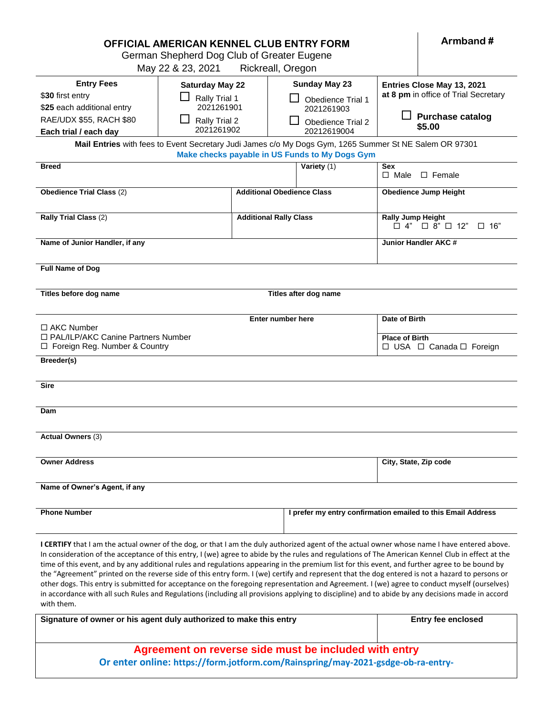| OFFICIAL AMERICAN KENNEL CLUB ENTRY FORM<br>German Shepherd Dog Club of Greater Eugene                                                                   |                                                       |                               |                                                              |                                                                        | Armband#                                                           |  |  |
|----------------------------------------------------------------------------------------------------------------------------------------------------------|-------------------------------------------------------|-------------------------------|--------------------------------------------------------------|------------------------------------------------------------------------|--------------------------------------------------------------------|--|--|
|                                                                                                                                                          |                                                       |                               |                                                              |                                                                        |                                                                    |  |  |
| May 22 & 23, 2021<br>Rickreall, Oregon                                                                                                                   |                                                       |                               |                                                              |                                                                        |                                                                    |  |  |
| <b>Entry Fees</b><br>\$30 first entry<br>\$25 each additional entry                                                                                      | <b>Saturday May 22</b><br>Rally Trial 1<br>2021261901 |                               | <b>Sunday May 23</b><br>Obedience Trial 1<br>2021261903      |                                                                        | Entries Close May 13, 2021<br>at 8 pm in office of Trial Secretary |  |  |
| RAE/UDX \$55, RACH \$80<br>Each trial / each day                                                                                                         | Rally Trial 2<br>2021261902                           |                               | Obedience Trial 2<br>20212619004                             |                                                                        | <b>Purchase catalog</b><br>\$5.00                                  |  |  |
| Mail Entries with fees to Event Secretary Judi James c/o My Dogs Gym, 1265 Summer St NE Salem OR 97301<br>Make checks payable in US Funds to My Dogs Gym |                                                       |                               |                                                              |                                                                        |                                                                    |  |  |
| <b>Breed</b>                                                                                                                                             |                                                       |                               | Variety $(1)$                                                | <b>Sex</b><br>$\Box$ Male<br>$\Box$ Female                             |                                                                    |  |  |
| <b>Obedience Trial Class (2)</b>                                                                                                                         |                                                       |                               | <b>Additional Obedience Class</b>                            |                                                                        | <b>Obedience Jump Height</b>                                       |  |  |
| Rally Trial Class (2)                                                                                                                                    |                                                       | <b>Additional Rally Class</b> |                                                              | <b>Rally Jump Height</b><br>$\Box$ 4"<br>$\Box$ 8" $\Box$ 12"<br>□ 16" |                                                                    |  |  |
| Name of Junior Handler, if any                                                                                                                           |                                                       |                               |                                                              |                                                                        | Junior Handler AKC #                                               |  |  |
| <b>Full Name of Dog</b>                                                                                                                                  |                                                       |                               |                                                              |                                                                        |                                                                    |  |  |
| Titles before dog name<br>Titles after dog name                                                                                                          |                                                       |                               |                                                              |                                                                        |                                                                    |  |  |
| <b>Enter number here</b>                                                                                                                                 |                                                       |                               | Date of Birth                                                |                                                                        |                                                                    |  |  |
| $\Box$ AKC Number<br>□ PAL/ILP/AKC Canine Partners Number<br>□ Foreign Reg. Number & Country                                                             |                                                       |                               |                                                              | <b>Place of Birth</b>                                                  | $\Box$ USA $\Box$ Canada $\Box$ Foreign                            |  |  |
| Breeder(s)                                                                                                                                               |                                                       |                               |                                                              |                                                                        |                                                                    |  |  |
| <b>Sire</b>                                                                                                                                              |                                                       |                               |                                                              |                                                                        |                                                                    |  |  |
| Dam                                                                                                                                                      |                                                       |                               |                                                              |                                                                        |                                                                    |  |  |
| Actual Owners (3)                                                                                                                                        |                                                       |                               |                                                              |                                                                        |                                                                    |  |  |
| <b>Owner Address</b>                                                                                                                                     |                                                       |                               |                                                              | City, State, Zip code                                                  |                                                                    |  |  |
| Name of Owner's Agent, if any                                                                                                                            |                                                       |                               |                                                              |                                                                        |                                                                    |  |  |
| <b>Phone Number</b>                                                                                                                                      |                                                       |                               | I prefer my entry confirmation emailed to this Email Address |                                                                        |                                                                    |  |  |
|                                                                                                                                                          |                                                       |                               |                                                              |                                                                        |                                                                    |  |  |

 $\mathbf{r}$ 

**I CERTIFY** that I am the actual owner of the dog, or that I am the duly authorized agent of the actual owner whose name I have entered above. In consideration of the acceptance of this entry, I (we) agree to abide by the rules and regulations of The American Kennel Club in effect at the time of this event, and by any additional rules and regulations appearing in the premium list for this event, and further agree to be bound by the "Agreement" printed on the reverse side of this entry form. I (we) certify and represent that the dog entered is not a hazard to persons or other dogs. This entry is submitted for acceptance on the foregoing representation and Agreement. I (we) agree to conduct myself (ourselves) in accordance with all such Rules and Regulations (including all provisions applying to discipline) and to abide by any decisions made in accord with them.

| Signature of owner or his agent duly authorized to make this entry               | <b>Entry fee enclosed</b> |  |  |  |
|----------------------------------------------------------------------------------|---------------------------|--|--|--|
|                                                                                  |                           |  |  |  |
| Agreement on reverse side must be included with entry                            |                           |  |  |  |
| Or enter online: https://form.jotform.com/Rainspring/may-2021-gsdge-ob-ra-entry- |                           |  |  |  |